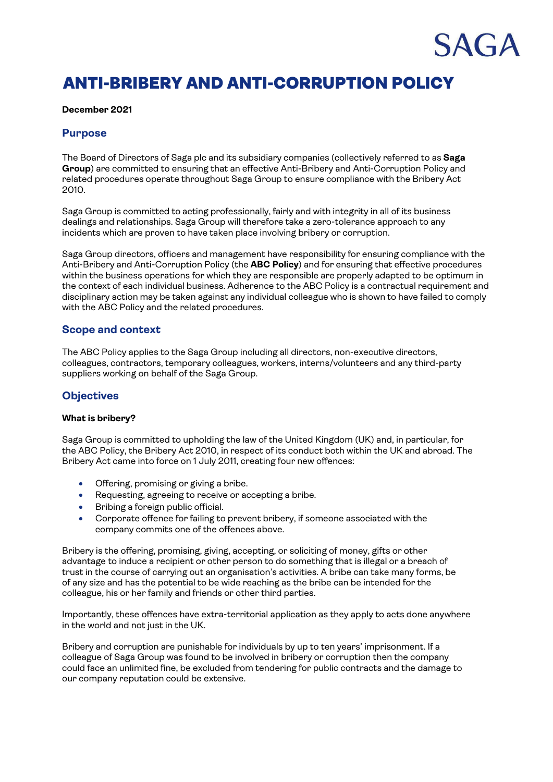# **SAGA**

## ANTI-BRIBERY AND ANTI-CORRUPTION POLICY

#### **December 2021**

#### **Purpose**

The Board of Directors of Saga plc and its subsidiary companies (collectively referred to as **Saga Group**) are committed to ensuring that an effective Anti-Bribery and Anti-Corruption Policy and related procedures operate throughout Saga Group to ensure compliance with the Bribery Act 2010.

Saga Group is committed to acting professionally, fairly and with integrity in all of its business dealings and relationships. Saga Group will therefore take a zero-tolerance approach to any incidents which are proven to have taken place involving bribery or corruption.

Saga Group directors, officers and management have responsibility for ensuring compliance with the Anti-Bribery and Anti-Corruption Policy (the **ABC Policy**) and for ensuring that effective procedures within the business operations for which they are responsible are properly adapted to be optimum in the context of each individual business. Adherence to the ABC Policy is a contractual requirement and disciplinary action may be taken against any individual colleague who is shown to have failed to comply with the ABC Policy and the related procedures.

#### **Scope and context**

The ABC Policy applies to the Saga Group including all directors, non-executive directors, colleagues, contractors, temporary colleagues, workers, interns/volunteers and any third-party suppliers working on behalf of the Saga Group.

#### **Objectives**

#### **What is bribery?**

Saga Group is committed to upholding the law of the United Kingdom (UK) and, in particular, for the ABC Policy, the Bribery Act 2010, in respect of its conduct both within the UK and abroad. The Bribery Act came into force on 1 July 2011, creating four new offences:

- Offering, promising or giving a bribe.
- Requesting, agreeing to receive or accepting a bribe.
- Bribing a foreign public official.
- Corporate offence for failing to prevent bribery, if someone associated with the company commits one of the offences above.

Bribery is the offering, promising, giving, accepting, or soliciting of money, gifts or other advantage to induce a recipient or other person to do something that is illegal or a breach of trust in the course of carrying out an organisation's activities. A bribe can take many forms, be of any size and has the potential to be wide reaching as the bribe can be intended for the colleague, his or her family and friends or other third parties.

Importantly, these offences have extra-territorial application as they apply to acts done anywhere in the world and not just in the UK.

Bribery and corruption are punishable for individuals by up to ten years' imprisonment. If a colleague of Saga Group was found to be involved in bribery or corruption then the company could face an unlimited fine, be excluded from tendering for public contracts and the damage to our company reputation could be extensive.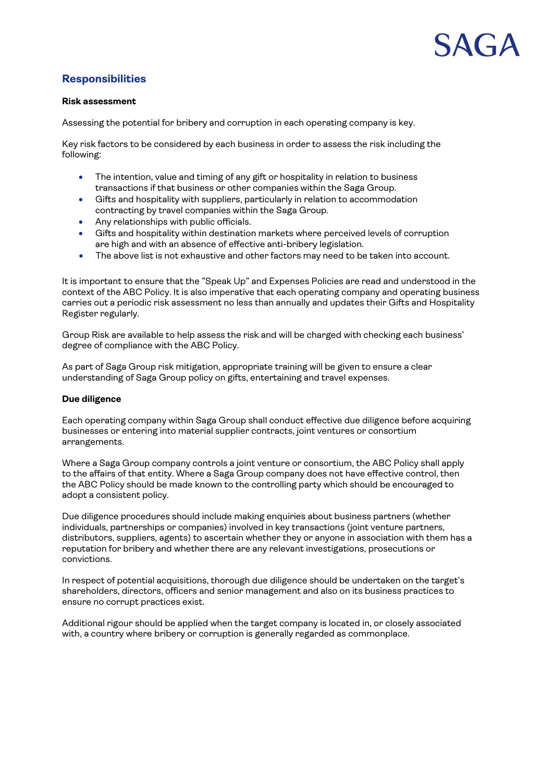

#### **Responsibilities**

#### **Risk assessment**

Assessing the potential for bribery and corruption in each operating company is key.

Key risk factors to be considered by each business in order to assess the risk including the following:

- The intention, value and timing of any gift or hospitality in relation to business transactions if that business or other companies within the Saga Group.
- Gifts and hospitality with suppliers, particularly in relation to accommodation contracting by travel companies within the Saga Group.
- Any relationships with public officials.
- Gifts and hospitality within destination markets where perceived levels of corruption are high and with an absence of effective anti-bribery legislation.
- The above list is not exhaustive and other factors may need to be taken into account.

It is important to ensure that the "Speak Up" and Expenses Policies are read and understood in the context of the ABC Policy. It is also imperative that each operating company and operating business carries out a periodic risk assessment no less than annually and updates their Gifts and Hospitality Register regularly.

Group Risk are available to help assess the risk and will be charged with checking each business' degree of compliance with the ABC Policy.

As part of Saga Group risk mitigation, appropriate training will be given to ensure a clear understanding of Saga Group policy on gifts, entertaining and travel expenses.

#### **Due diligence**

Each operating company within Saga Group shall conduct effective due diligence before acquiring businesses or entering into material supplier contracts, joint ventures or consortium arrangements.

Where a Saga Group company controls a joint venture or consortium, the ABC Policy shall apply to the affairs of that entity. Where a Saga Group company does not have effective control, then the ABC Policy should be made known to the controlling party which should be encouraged to adopt a consistent policy.

Due diligence procedures should include making enquiries about business partners (whether individuals, partnerships or companies) involved in key transactions (joint venture partners, distributors, suppliers, agents) to ascertain whether they or anyone in association with them has a reputation for bribery and whether there are any relevant investigations, prosecutions or convictions.

In respect of potential acquisitions, thorough due diligence should be undertaken on the target's shareholders, directors, officers and senior management and also on its business practices to ensure no corrupt practices exist.

Additional rigour should be applied when the target company is located in, or closely associated with, a country where bribery or corruption is generally regarded as commonplace.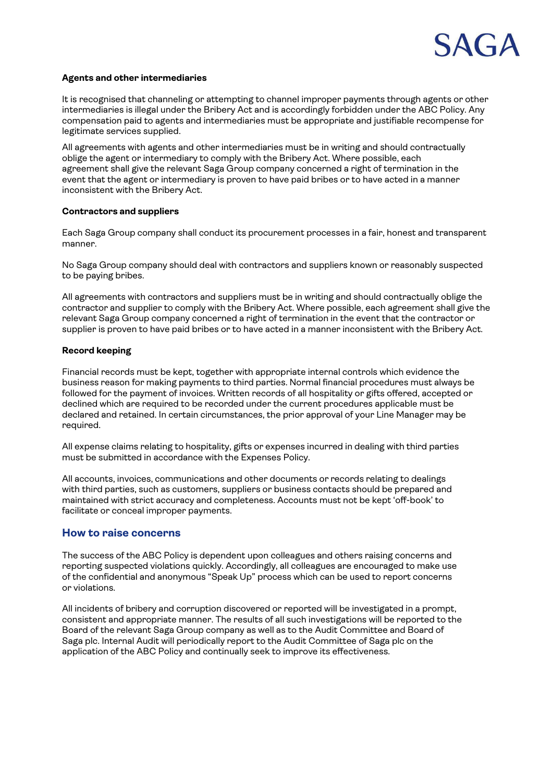

#### **Agents and other intermediaries**

It is recognised that channeling or attempting to channel improper payments through agents or other intermediaries is illegal under the Bribery Act and is accordingly forbidden under the ABC Policy. Any compensation paid to agents and intermediaries must be appropriate and justifiable recompense for legitimate services supplied.

All agreements with agents and other intermediaries must be in writing and should contractually oblige the agent or intermediary to comply with the Bribery Act. Where possible, each agreement shall give the relevant Saga Group company concerned a right of termination in the event that the agent or intermediary is proven to have paid bribes or to have acted in a manner inconsistent with the Bribery Act.

#### **Contractors and suppliers**

Each Saga Group company shall conduct its procurement processes in a fair, honest and transparent manner.

No Saga Group company should deal with contractors and suppliers known or reasonably suspected to be paying bribes.

All agreements with contractors and suppliers must be in writing and should contractually oblige the contractor and supplier to comply with the Bribery Act. Where possible, each agreement shall give the relevant Saga Group company concerned a right of termination in the event that the contractor or supplier is proven to have paid bribes or to have acted in a manner inconsistent with the Bribery Act.

#### **Record keeping**

Financial records must be kept, together with appropriate internal controls which evidence the business reason for making payments to third parties. Normal financial procedures must always be followed for the payment of invoices. Written records of all hospitality or gifts offered, accepted or declined which are required to be recorded under the current procedures applicable must be declared and retained. In certain circumstances, the prior approval of your Line Manager may be required.

All expense claims relating to hospitality, gifts or expenses incurred in dealing with third parties must be submitted in accordance with the Expenses Policy.

All accounts, invoices, communications and other documents or records relating to dealings with third parties, such as customers, suppliers or business contacts should be prepared and maintained with strict accuracy and completeness. Accounts must not be kept 'off-book' to facilitate or conceal improper payments.

#### **How to raise concerns**

The success of the ABC Policy is dependent upon colleagues and others raising concerns and reporting suspected violations quickly. Accordingly, all colleagues are encouraged to make use of the confidential and anonymous "Speak Up" process which can be used to report concerns or violations.

All incidents of bribery and corruption discovered or reported will be investigated in a prompt, consistent and appropriate manner. The results of all such investigations will be reported to the Board of the relevant Saga Group company as well as to the Audit Committee and Board of Saga plc. Internal Audit will periodically report to the Audit Committee of Saga plc on the application of the ABC Policy and continually seek to improve its effectiveness.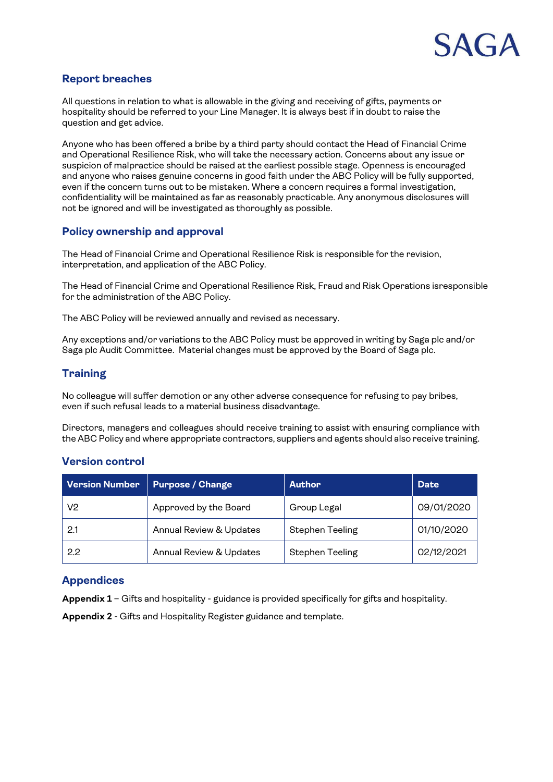

#### **Report breaches**

All questions in relation to what is allowable in the giving and receiving of gifts, payments or hospitality should be referred to your Line Manager. It is always best if in doubt to raise the question and get advice.

Anyone who has been offered a bribe by a third party should contact the Head of Financial Crime and Operational Resilience Risk, who will take the necessary action. Concerns about any issue or suspicion of malpractice should be raised at the earliest possible stage. Openness is encouraged and anyone who raises genuine concerns in good faith under the ABC Policy will be fully supported, even if the concern turns out to be mistaken. Where a concern requires a formal investigation, confidentiality will be maintained as far as reasonably practicable. Any anonymous disclosures will not be ignored and will be investigated as thoroughly as possible.

#### **Policy ownership and approval**

The Head of Financial Crime and Operational Resilience Risk is responsible for the revision, interpretation, and application of the ABC Policy.

The Head of Financial Crime and Operational Resilience Risk, Fraud and Risk Operations isresponsible for the administration of the ABC Policy.

The ABC Policy will be reviewed annually and revised as necessary.

Any exceptions and/or variations to the ABC Policy must be approved in writing by Saga plc and/or Saga plc Audit Committee. Material changes must be approved by the Board of Saga plc.

#### **Training**

No colleague will suffer demotion or any other adverse consequence for refusing to pay bribes, even if such refusal leads to a material business disadvantage.

Directors, managers and colleagues should receive training to assist with ensuring compliance with the ABC Policy and where appropriate contractors, suppliers and agents should also receive training.

#### **Version control**

| <b>Version Number</b> | <b>Purpose / Change</b> | <b>Author</b>          | Date       |
|-----------------------|-------------------------|------------------------|------------|
| V2                    | Approved by the Board   | Group Legal            | 09/01/2020 |
| 2.1                   | Annual Review & Updates | <b>Stephen Teeling</b> | 01/10/2020 |
| 2.2                   | Annual Review & Updates | Stephen Teeling        | 02/12/2021 |

#### **Appendices**

**Appendix 1** – Gifts and hospitality - guidance is provided specifically for gifts and hospitality.

**Appendix 2** - Gifts and Hospitality Register guidance and template.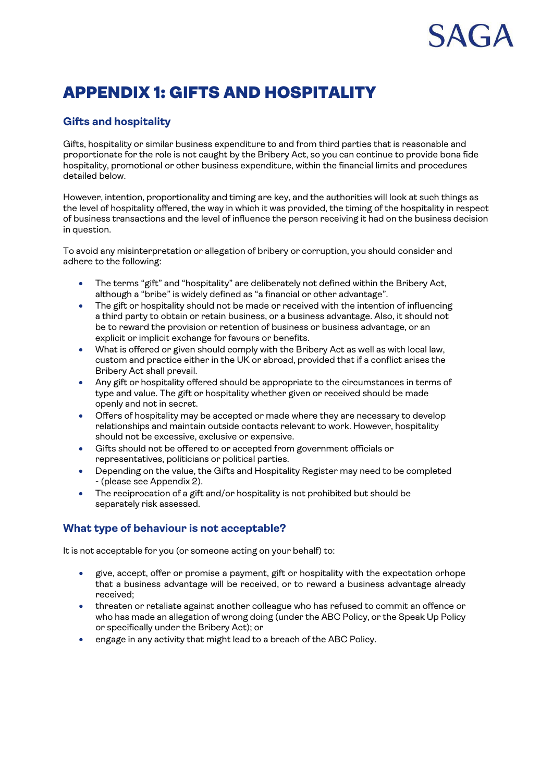# APPENDIX 1: GIFTS AND HOSPITALITY

#### **Gifts and hospitality**

Gifts, hospitality or similar business expenditure to and from third parties that is reasonable and proportionate for the role is not caught by the Bribery Act, so you can continue to provide bona fide hospitality, promotional or other business expenditure, within the financial limits and procedures detailed below.

However, intention, proportionality and timing are key, and the authorities will look at such things as the level of hospitality offered, the way in which it was provided, the timing of the hospitality in respect of business transactions and the level of influence the person receiving it had on the business decision in question.

To avoid any misinterpretation or allegation of bribery or corruption, you should consider and adhere to the following:

- The terms "gift" and "hospitality" are deliberately not defined within the Bribery Act, although a "bribe" is widely defined as "a financial or other advantage".
- The gift or hospitality should not be made or received with the intention of influencing a third party to obtain or retain business, or a business advantage. Also, it should not be to reward the provision or retention of business or business advantage, or an explicit or implicit exchange for favours or benefits.
- What is offered or given should comply with the Bribery Act as well as with local law, custom and practice either in the UK or abroad, provided that if a conflict arises the Bribery Act shall prevail.
- Any gift or hospitality offered should be appropriate to the circumstances in terms of type and value. The gift or hospitality whether given or received should be made openly and not in secret.
- Offers of hospitality may be accepted or made where they are necessary to develop relationships and maintain outside contacts relevant to work. However, hospitality should not be excessive, exclusive or expensive.
- Gifts should not be offered to or accepted from government officials or representatives, politicians or political parties.
- Depending on the value, the Gifts and Hospitality Register may need to be completed - (please see Appendix 2).
- The reciprocation of a gift and/or hospitality is not prohibited but should be separately risk assessed.

### **What type of behaviour is not acceptable?**

It is not acceptable for you (or someone acting on your behalf) to:

- give, accept, offer or promise a payment, gift or hospitality with the expectation orhope that a business advantage will be received, or to reward a business advantage already received;
- threaten or retaliate against another colleague who has refused to commit an offence or who has made an allegation of wrong doing (under the ABC Policy, or the Speak Up Policy or specifically under the Bribery Act); or
- engage in any activity that might lead to a breach of the ABC Policy.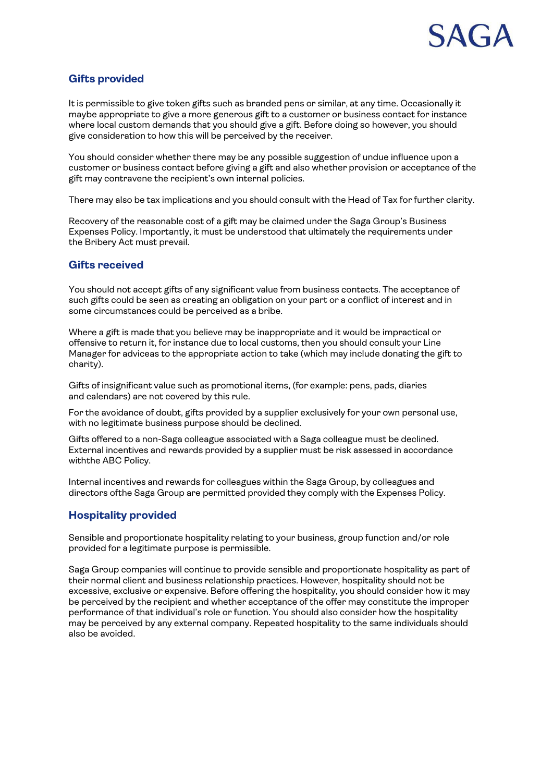

#### **Gifts provided**

It is permissible to give token gifts such as branded pens or similar, at any time. Occasionally it maybe appropriate to give a more generous gift to a customer or business contact for instance where local custom demands that you should give a gift. Before doing so however, you should give consideration to how this will be perceived by the receiver.

You should consider whether there may be any possible suggestion of undue influence upon a customer or business contact before giving a gift and also whether provision or acceptance of the gift may contravene the recipient's own internal policies.

There may also be tax implications and you should consult with the Head of Tax for further clarity.

Recovery of the reasonable cost of a gift may be claimed under the Saga Group's Business Expenses Policy. Importantly, it must be understood that ultimately the requirements under the Bribery Act must prevail.

#### **Gifts received**

You should not accept gifts of any significant value from business contacts. The acceptance of such gifts could be seen as creating an obligation on your part or a conflict of interest and in some circumstances could be perceived as a bribe.

Where a gift is made that you believe may be inappropriate and it would be impractical or offensive to return it, for instance due to local customs, then you should consult your Line Manager for adviceas to the appropriate action to take (which may include donating the gift to charity).

Gifts of insignificant value such as promotional items, (for example: pens, pads, diaries and calendars) are not covered by this rule.

For the avoidance of doubt, gifts provided by a supplier exclusively for your own personal use, with no legitimate business purpose should be declined.

Gifts offered to a non-Saga colleague associated with a Saga colleague must be declined. External incentives and rewards provided by a supplier must be risk assessed in accordance withthe ABC Policy.

Internal incentives and rewards for colleagues within the Saga Group, by colleagues and directors ofthe Saga Group are permitted provided they comply with the Expenses Policy.

#### **Hospitality provided**

Sensible and proportionate hospitality relating to your business, group function and/or role provided for a legitimate purpose is permissible.

Saga Group companies will continue to provide sensible and proportionate hospitality as part of their normal client and business relationship practices. However, hospitality should not be excessive, exclusive or expensive. Before offering the hospitality, you should consider how it may be perceived by the recipient and whether acceptance of the offer may constitute the improper performance of that individual's role or function. You should also consider how the hospitality may be perceived by any external company. Repeated hospitality to the same individuals should also be avoided.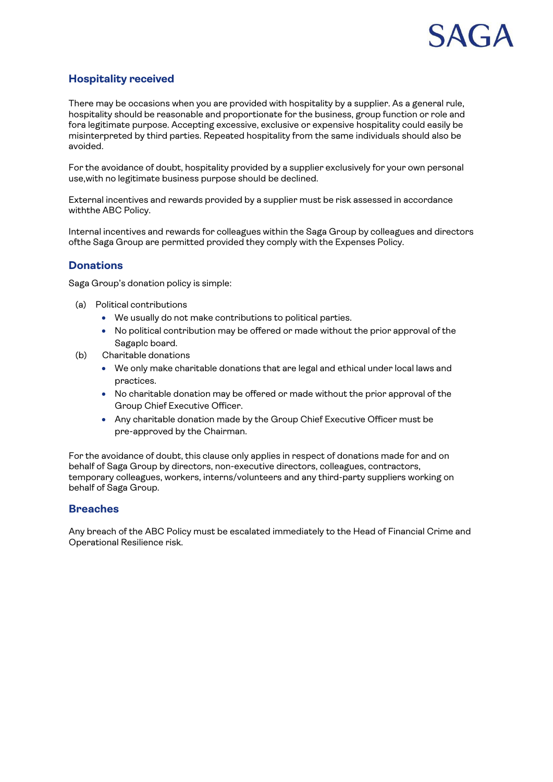

#### **Hospitality received**

There may be occasions when you are provided with hospitality by a supplier. As a general rule, hospitality should be reasonable and proportionate for the business, group function or role and fora legitimate purpose. Accepting excessive, exclusive or expensive hospitality could easily be misinterpreted by third parties. Repeated hospitality from the same individuals should also be avoided.

For the avoidance of doubt, hospitality provided by a supplier exclusively for your own personal use,with no legitimate business purpose should be declined.

External incentives and rewards provided by a supplier must be risk assessed in accordance withthe ABC Policy.

Internal incentives and rewards for colleagues within the Saga Group by colleagues and directors ofthe Saga Group are permitted provided they comply with the Expenses Policy.

#### **Donations**

Saga Group's donation policy is simple:

- (a) Political contributions
	- We usually do not make contributions to political parties.
	- No political contribution may be offered or made without the prior approval of the Sagaplc board.
- (b) Charitable donations
	- We only make charitable donations that are legal and ethical under local laws and practices.
	- No charitable donation may be offered or made without the prior approval of the Group Chief Executive Officer.
	- Any charitable donation made by the Group Chief Executive Officer must be pre-approved by the Chairman.

For the avoidance of doubt, this clause only applies in respect of donations made for and on behalf of Saga Group by directors, non-executive directors, colleagues, contractors, temporary colleagues, workers, interns/volunteers and any third-party suppliers working on behalf of Saga Group.

#### **Breaches**

Any breach of the ABC Policy must be escalated immediately to the Head of Financial Crime and Operational Resilience risk.